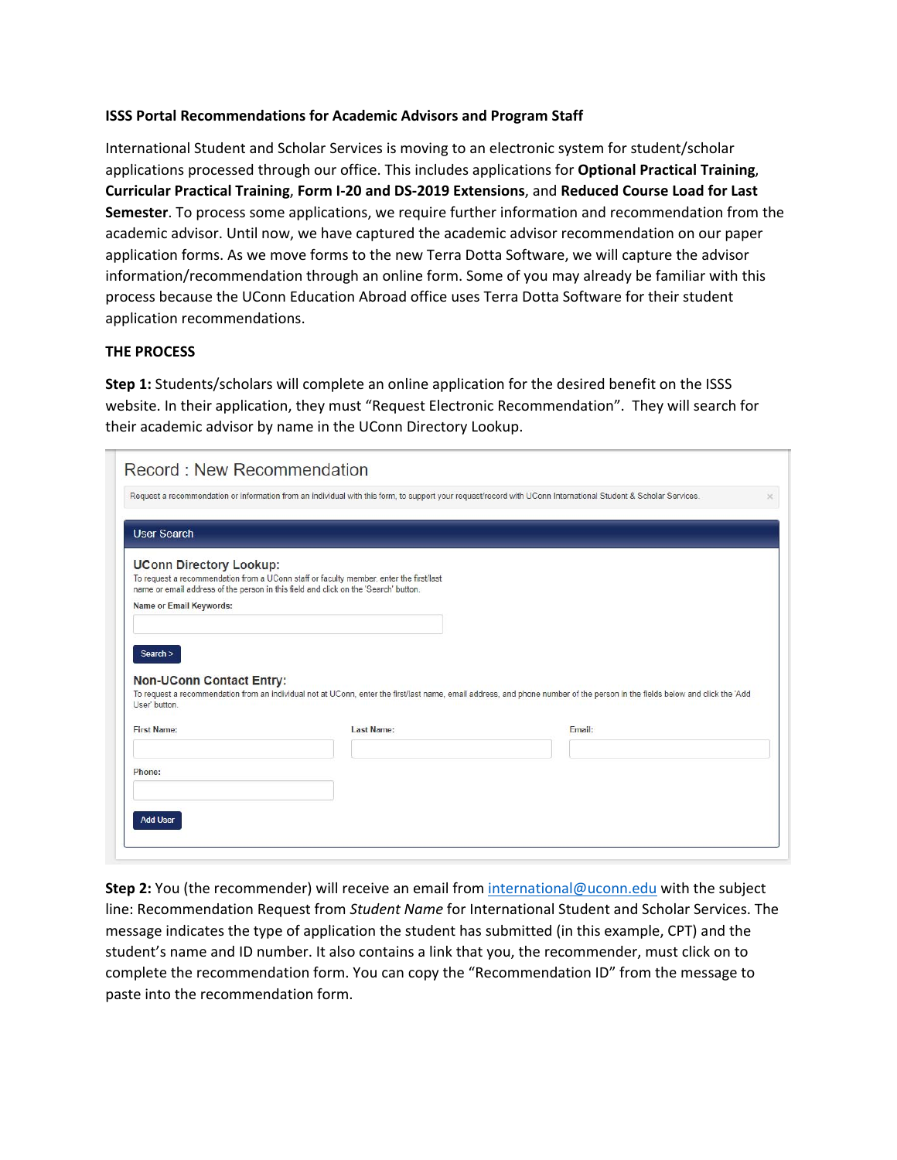## **ISSS Portal Recommendations for Academic Advisors and Program Staff**

International Student and Scholar Services is moving to an electronic system for student/scholar applications processed through our office. This includes applications for **Optional Practical Training**, **Curricular Practical Training**, **Form I‐20 and DS‐2019 Extensions**, and **Reduced Course Load for Last Semester**. To process some applications, we require further information and recommendation from the academic advisor. Until now, we have captured the academic advisor recommendation on our paper application forms. As we move forms to the new Terra Dotta Software, we will capture the advisor information/recommendation through an online form. Some of you may already be familiar with this process because the UConn Education Abroad office uses Terra Dotta Software for their student application recommendations.

## **THE PROCESS**

**Step 1:** Students/scholars will complete an online application for the desired benefit on the ISSS website. In their application, they must "Request Electronic Recommendation". They will search for their academic advisor by name in the UConn Directory Lookup.

|                                                                                  | Request a recommendation or information from an individual with this form, to support your request/record with UConn International Student & Scholar Services.                |                                                                                                                                                                              |  |
|----------------------------------------------------------------------------------|-------------------------------------------------------------------------------------------------------------------------------------------------------------------------------|------------------------------------------------------------------------------------------------------------------------------------------------------------------------------|--|
| <b>User Search</b>                                                               |                                                                                                                                                                               |                                                                                                                                                                              |  |
| <b>UConn Directory Lookup:</b><br>Name or Email Keywords:                        | To request a recommendation from a UConn staff or faculty member, enter the first/last<br>name or email address of the person in this field and click on the 'Search' button. |                                                                                                                                                                              |  |
| Search >                                                                         |                                                                                                                                                                               | To request a recommendation from an individual not at UConn, enter the first/last name, email address, and phone number of the person in the fields below and click the 'Add |  |
|                                                                                  | <b>Last Name:</b>                                                                                                                                                             | Email:                                                                                                                                                                       |  |
| <b>Non-UConn Contact Entry:</b><br>User' button.<br><b>First Name:</b><br>Phone: |                                                                                                                                                                               |                                                                                                                                                                              |  |

**Step 2:** You (the recommender) will receive an email from international@uconn.edu with the subject line: Recommendation Request from *Student Name* for International Student and Scholar Services. The message indicates the type of application the student has submitted (in this example, CPT) and the student's name and ID number. It also contains a link that you, the recommender, must click on to complete the recommendation form. You can copy the "Recommendation ID" from the message to paste into the recommendation form.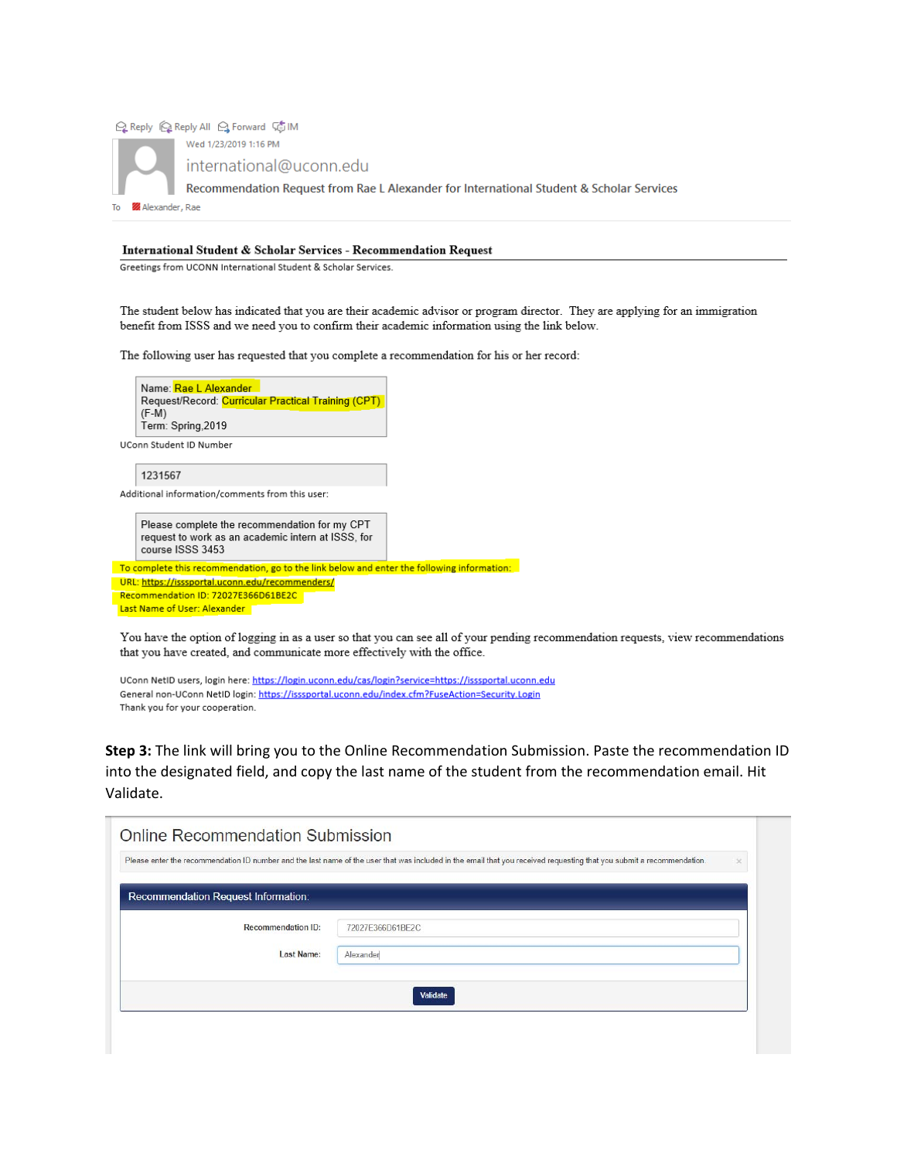

## International Student & Scholar Services - Recommendation Request

Greetings from UCONN International Student & Scholar Services.

The student below has indicated that you are their academic advisor or program director. They are applying for an immigration benefit from ISSS and we need you to confirm their academic information using the link below.

The following user has requested that you complete a recommendation for his or her record:



Please complete the recommendation for my CPT request to work as an academic intern at ISSS, for course ISSS 3453

To complete this recommendation, go to the link below and enter the following information:

URL: https://isssportal.uconn.edu/recommenders/ Recommendation ID: 72027E366D61BE2C Last Name of User: Alexander

You have the option of logging in as a user so that you can see all of your pending recommendation requests, view recommendations that you have created, and communicate more effectively with the office.

UConn NetID users, login here: https://login.uconn.edu/cas/login?service=https://isssportal.uconn.edu General non-UConn NetID login: https://isssportal.uconn.edu/index.cfm?FuseAction=Security.Login Thank you for your cooperation.

Step 3: The link will bring you to the Online Recommendation Submission. Paste the recommendation ID into the designated field, and copy the last name of the student from the recommendation email. Hit Validate.

|                                     | Please enter the recommendation ID number and the last name of the user that was included in the email that you received requesting that you submit a recommendation. | $\times$ |
|-------------------------------------|-----------------------------------------------------------------------------------------------------------------------------------------------------------------------|----------|
| Recommendation Request Information: |                                                                                                                                                                       |          |
| <b>Recommendation ID:</b>           | 72027E366D61BE2C                                                                                                                                                      |          |
| <b>Last Name:</b>                   | Alexander                                                                                                                                                             |          |
|                                     | Validate                                                                                                                                                              |          |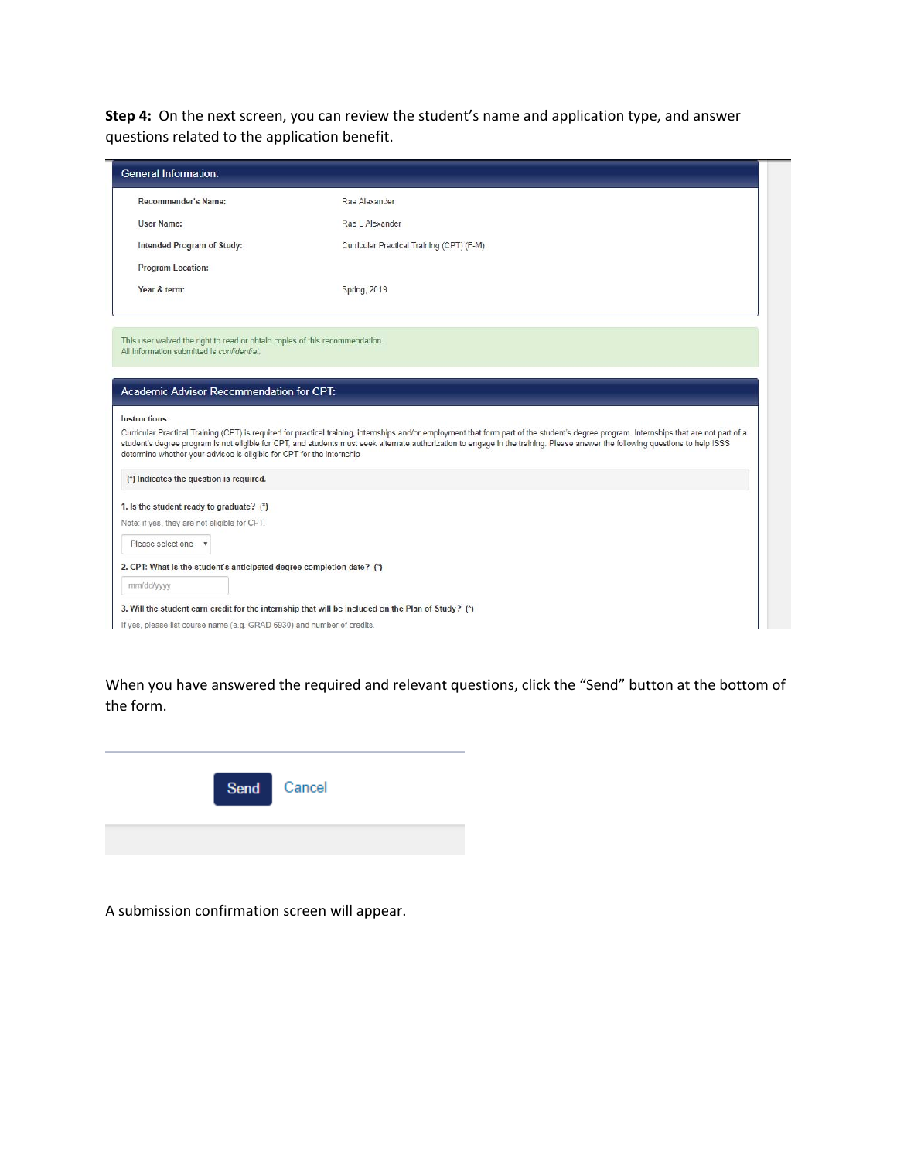**Step 4:** On the next screen, you can review the student's name and application type, and answer questions related to the application benefit.

| Recommender's Name:                                                                                                                                                                                                                                                                                        | Rae Alexander                                                                                                                                                                                                                                                                                                                                                              |  |
|------------------------------------------------------------------------------------------------------------------------------------------------------------------------------------------------------------------------------------------------------------------------------------------------------------|----------------------------------------------------------------------------------------------------------------------------------------------------------------------------------------------------------------------------------------------------------------------------------------------------------------------------------------------------------------------------|--|
| <b>User Name:</b>                                                                                                                                                                                                                                                                                          | Rae L Alexander                                                                                                                                                                                                                                                                                                                                                            |  |
| Intended Program of Study:                                                                                                                                                                                                                                                                                 | Curricular Practical Training (CPT) (F-M)                                                                                                                                                                                                                                                                                                                                  |  |
| <b>Program Location:</b>                                                                                                                                                                                                                                                                                   |                                                                                                                                                                                                                                                                                                                                                                            |  |
| Year & term:                                                                                                                                                                                                                                                                                               | <b>Spring, 2019</b>                                                                                                                                                                                                                                                                                                                                                        |  |
|                                                                                                                                                                                                                                                                                                            |                                                                                                                                                                                                                                                                                                                                                                            |  |
|                                                                                                                                                                                                                                                                                                            | Curricular Practical Training (CPT) is required for practical training, internships and/or employment that form part of the student's degree program. Internships that are not part of a<br>student's degree program is not eligible for CPT, and students must seek alternate authorization to engage in the training. Please answer the following questions to help ISSS |  |
| This user waived the right to read or obtain copies of this recommendation.<br>All information submitted is confidential.<br>Academic Advisor Recommendation for CPT:<br>Instructions:<br>determine whether your advisee is eligible for CPT for the internship<br>(*) Indicates the question is required. |                                                                                                                                                                                                                                                                                                                                                                            |  |
| 1. Is the student ready to graduate? (*)<br>Note: if yes, they are not eligible for CPT.<br>Please select one v                                                                                                                                                                                            |                                                                                                                                                                                                                                                                                                                                                                            |  |
| 2. CPT: What is the student's anticipated degree completion date? (*)                                                                                                                                                                                                                                      |                                                                                                                                                                                                                                                                                                                                                                            |  |

When you have answered the required and relevant questions, click the "Send" button at the bottom of the form.



A submission confirmation screen will appear.